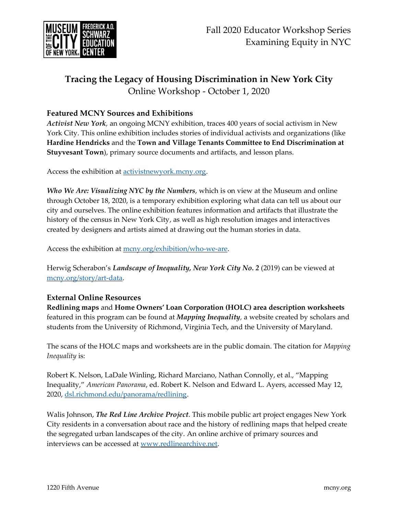

# **Tracing the Legacy of Housing Discrimination in New York City** Online Workshop - October 1, 2020

# **Featured MCNY Sources and Exhibitions**

*Activist New York,* an ongoing MCNY exhibition, traces 400 years of social activism in New York City. This online exhibition includes stories of individual activists and organizations (like **Hardine Hendricks** and the **Town and Village Tenants Committee to End Discrimination at Stuyvesant Town**), primary source documents and artifacts, and lesson plans.

Access the exhibition at [activistnewyork.mcny.org.](https://activistnewyork.mcny.org/)

*Who We Are: Visualizing NYC by the Numbers*, which is on view at the Museum and online through October 18, 2020, is a temporary exhibition exploring what data can tell us about our city and ourselves. The online exhibition features information and artifacts that illustrate the history of the census in New York City, as well as high resolution images and interactives created by designers and artists aimed at drawing out the human stories in data.

Access the exhibition at [mcny.org/exhibition/who-we-are.](https://www.mcny.org/exhibition/who-we-are)

Herwig Scherabon's *Landscape of Inequality, New York City No. 2* (2019) can be viewed at [mcny.org/story/art-data.](https://www.mcny.org/story/art-data)

### **External Online Resources**

**Redlining maps** and **Home Owners' Loan Corporation (HOLC) area description worksheets**  featured in this program can be found at *Mapping Inequality,* a website created by scholars and students from the University of Richmond, Virginia Tech, and the University of Maryland.

The scans of the HOLC maps and worksheets are in the public domain. The citation for *Mapping Inequality* is:

Robert K. Nelson, LaDale Winling, Richard Marciano, Nathan Connolly, et al., "Mapping Inequality," *American Panorama*, ed. Robert K. Nelson and Edward L. Ayers, accessed May 12, 2020, [dsl.richmond.edu/panorama/redlining.](https://dsl.richmond.edu/panorama/redlining/)

Walis Johnson, *The Red Line Archive Project*. This mobile public art project engages New York City residents in a conversation about race and the history of redlining maps that helped create the segregated urban landscapes of the city. An online archive of primary sources and interviews can be accessed at [www.redlinearchive.net.](http://www.redlinearchive.net/)